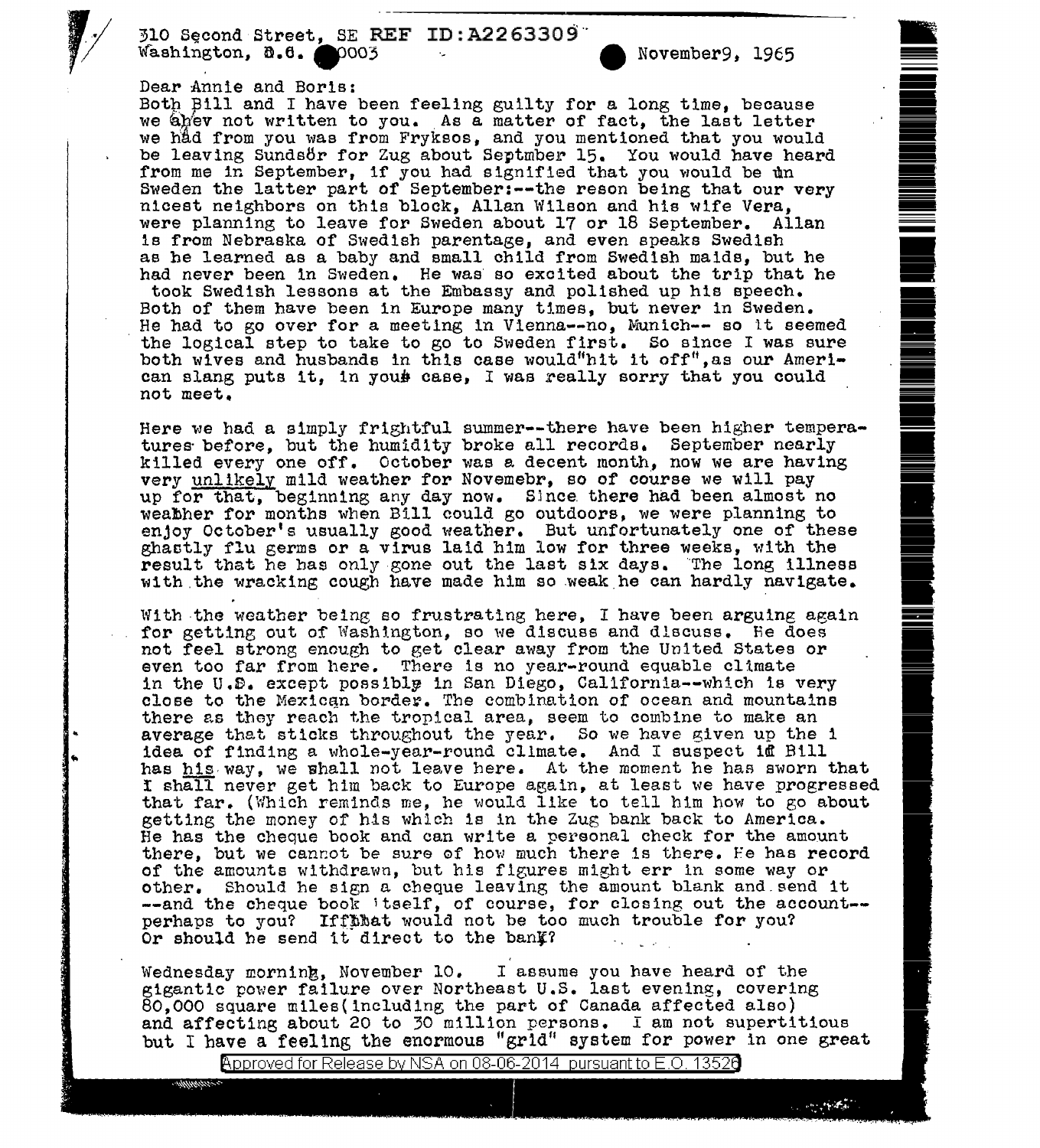310 Second Street, SE REF ID: A2263309 ... November9, 1965

## Dear Annie and Boris:

..

Both Bill and I have been feeling guilty for a long time, because we abev not written to you. As a matter of fact, the last letter we hfid from you was from Fryksos, and you mentioned that you would be leaving Sundsör for Zug about Septmber 15. You would have heard from me in September, if you had signified that you would be un Sweden the latter part of September:--the reson being that our very nicest neighbors on this block, Allan Wilson and his wife Vera, were planning to leave for Sweden about 17 or 18 September. Allan is from Nebraska of Swedish parentage, and even speaks Swedish ae he learned as a baby and small child from Swedish maids, but he had never been in Sweden. He was so excited about the trip that he took Swedish lessons at the Embassy and polished up his speech. Both of them have been in Europe many times, but never in Sweden. He had to go over for a meeting in Vienna--no, Munich-- so lt seemed the logical step to take to go to Sweden first. So since I was sure both wives and husbands in this case would"hit it off", as our American slang puts it, in youb case, I was really sorry that you could not meet.

Here we had a simply frightful summer--there have been higher temperatures· before, but the humidity broke all records. September nearly killed. every one off. October was a decent month, now we are having very unlikely mild weather for Novemebr, so of course we will pay up for that, beginning any day now. Since there had been almost no weabher for months when Bill could go outdoors, we were planning to enjoy October's usually good weather. But unfortunately one of these ghaatly flu germs or a virus laid him low for three weeks, with the result that he has only gone out the last six days. The long illness with the wracking cough have made him so weak he can hardly navigate.

With the weather being so frustrating here, I have been arguing again for getting out of Washington, so we discuss and discuss. Re does not feel strong enough to get clear away from the United States or even too far from here. There is no year-round equable cltmate in the U.S. except possibly in San Diego, California--which is very close to the Mexican border. The combination of ocean and mountains there as they reach the tropical area, seem to combine to make an average that sticks throughout the year. So we have given up the 1 idea of finding a whole-year-round climate. And I suspect id Bill has his way, we shall not leave here. At the moment he has sworn that r shall never get him back to Europe again, at least we have progressed that far. (Which reminds me, he would like to tell him how to go about getting the money of his which is in the Zug bank back to America. He has the cheque book and can write a personal check for the amount there, but we cannot be sure of how much there is there. He has record of the amounts withdrawn, but his f lgures might err in some way or other. Should he sign a cheque leaving the amount blank and.send it --and the cheque book itself, of course, for closing out the account-perhaps to you? Iffthat would not be too much trouble for you? Or should he send it direct to the bank?

Or should he send it direct to the bank?<br>Wednesday morning, November 10. I assume you have heard of the gigantic power failure over Northeast U.S. last evening, covering 80,000 square miles(including the part of Canada affected also)<br>and affecting about 20 to 30 million persons. I am not supertitious but I have a feeling the enormous "grid" system for power in one great

Approved for Release by NSA on 08-06-2014  $\,$  pursuant to E.O. 1352 $6$ 

.

|<br>|<br>| -<br>-<br>-<br>-<br>-<br>-

**Frank** 

-- --

|<br>|<br>||<br>|| -- .

-<br>-<br>-<br>-<br>-<br>-<br>-<br>-<br>-<br>-<br><br><br><br> -<br><br><br><br>

**=** 

**es de la ma**<br>E --<br>-<br>-- --

..

**•**<br>• -

= • • .

i .

**-**<br>1

i

**In the contract of the contract of the contract of the contract of the contract of the contract of the contract of the contract of the contract of the contract of the contract of the contract of the contract of the contra** 

|<br>|<br>|